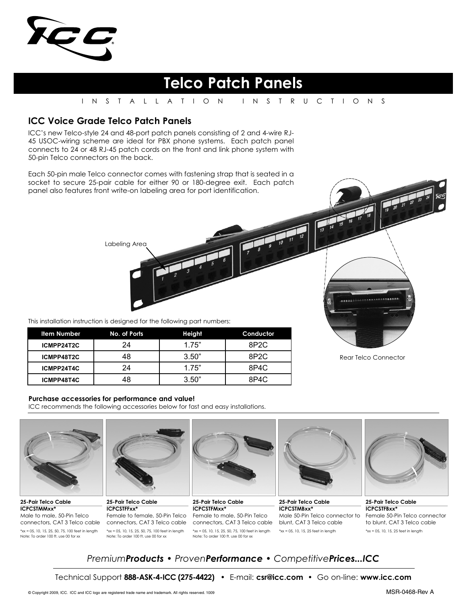

# **Telco Patch Panels**

#### INSTALLATION INSTRUCTIONS

### **ICC Voice Grade Telco Patch Panels**

ICC's new Telco-style 24 and 48-port patch panels consisting of 2 and 4-wire RJ-45 USOC-wiring scheme are ideal for PBX phone systems. Each patch panel connects to 24 or 48 RJ-45 patch cords on the front and link phone system with 50-pin Telco connectors on the back.

Each 50-pin male Telco connector comes with fastening strap that is seated in a socket to secure 25-pair cable for either 90 or 180-degree exit. Each patch panel also features front write-on labeling area for port identification.

This installation instruction is designed for the following part numbers:

Labeling Area

| <b>Item Number</b> | No. of Ports | Height | Conductor         |
|--------------------|--------------|--------|-------------------|
| ICMPP24T2C         | 24           | 1.75"  | 8P <sub>2</sub> C |
| ICMPP48T2C         | 48           | 3.50"  | 8P <sub>2</sub> C |
| ICMPP24T4C         | 24           | 1.75"  | 8P4C              |
| ICMPP48T4C         | 48           | 3.50"  | 8P4C              |

#### **Purchase accessories for performance and value!**

ICC recommends the following accessories below for fast and easy installations.



**25-Pair Telco Cable ICPCSTMMxx\*** Male to male, 50-Pin Telco connectors, CAT 3 Telco cable \*xx = 05, 10, 15, 25, 50, 75, 100 feet in length Note: To order 100 ft. use 00 for xx



**25-Pair Telco Cable ICPCSTFFxx\*** Female to female, 50-Pin Telco connectors, CAT 3 Telco cable \*xx = 05, 10, 15, 25, 50, 75, 100 feet in length Note: To order 100 ft. use 00 for xx



**25-Pair Telco Cable ICPCSTFMxx\*** Female to male, 50-Pin Telco connectors, CAT 3 Telco cable  $*xx = 05, 10, 15, 25, 50, 75, 100$  feet in length Note: To order 100 ft. use 00 for xx



**25-Pair Telco Cable ICPCSTMBxx\*** blunt, CAT 3 Telco cable \*xx = 05, 10, 15, 25 feet in length



Rear Telco Connector

 $1.55553$ 

Male 50-Pin Telco connector to Female 50-Pin Telco connector **25-Pair Telco Cable ICPCSTFBxx\*** to blunt, CAT 3 Telco cable \*xx = 05, 10, 15, 25 feet in length

## *PremiumProducts • ProvenPerformance • CompetitivePrices...ICC*

Technical Support **888-ASK-4-ICC (275-4422)** • E-mail: **csr@icc.com** • Go on-line: **www.icc.com**